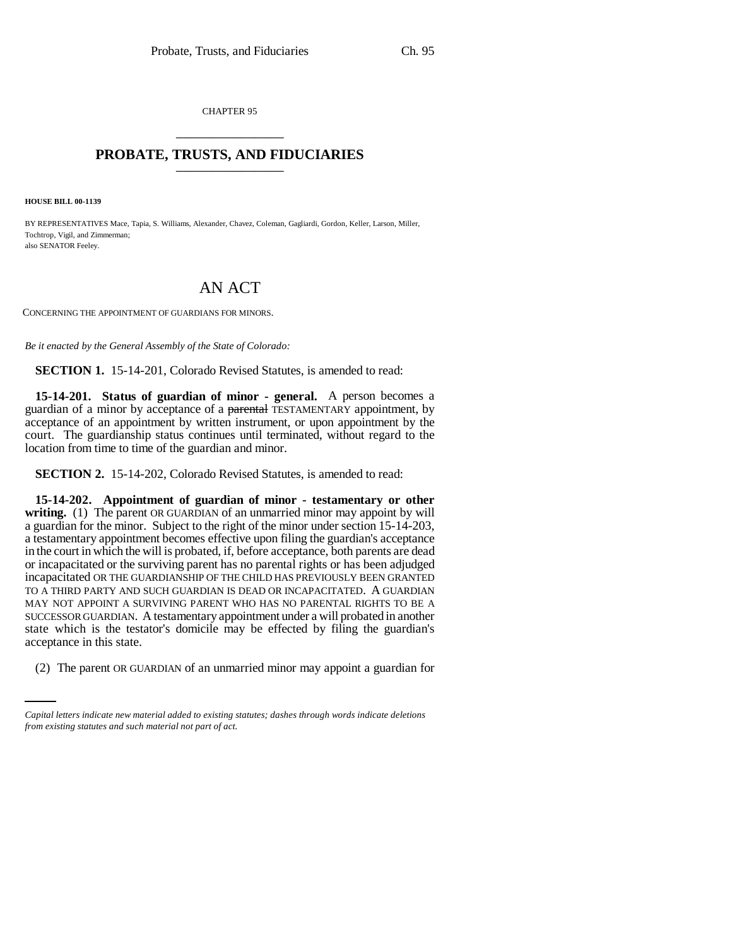CHAPTER 95 \_\_\_\_\_\_\_\_\_\_\_\_\_\_\_

# **PROBATE, TRUSTS, AND FIDUCIARIES** \_\_\_\_\_\_\_\_\_\_\_\_\_\_\_

**HOUSE BILL 00-1139** 

BY REPRESENTATIVES Mace, Tapia, S. Williams, Alexander, Chavez, Coleman, Gagliardi, Gordon, Keller, Larson, Miller, Tochtrop, Vigil, and Zimmerman; also SENATOR Feeley.

# AN ACT

CONCERNING THE APPOINTMENT OF GUARDIANS FOR MINORS.

*Be it enacted by the General Assembly of the State of Colorado:*

**SECTION 1.** 15-14-201, Colorado Revised Statutes, is amended to read:

**15-14-201. Status of guardian of minor - general.** A person becomes a guardian of a minor by acceptance of a parental TESTAMENTARY appointment, by acceptance of an appointment by written instrument, or upon appointment by the court. The guardianship status continues until terminated, without regard to the location from time to time of the guardian and minor.

**SECTION 2.** 15-14-202, Colorado Revised Statutes, is amended to read:

acceptance in this state. **15-14-202. Appointment of guardian of minor - testamentary or other** writing. (1) The parent OR GUARDIAN of an unmarried minor may appoint by will a guardian for the minor. Subject to the right of the minor under section 15-14-203, a testamentary appointment becomes effective upon filing the guardian's acceptance in the court in which the will is probated, if, before acceptance, both parents are dead or incapacitated or the surviving parent has no parental rights or has been adjudged incapacitated OR THE GUARDIANSHIP OF THE CHILD HAS PREVIOUSLY BEEN GRANTED TO A THIRD PARTY AND SUCH GUARDIAN IS DEAD OR INCAPACITATED. A GUARDIAN MAY NOT APPOINT A SURVIVING PARENT WHO HAS NO PARENTAL RIGHTS TO BE A SUCCESSOR GUARDIAN. A testamentary appointment under a will probated in another state which is the testator's domicile may be effected by filing the guardian's

(2) The parent OR GUARDIAN of an unmarried minor may appoint a guardian for

*Capital letters indicate new material added to existing statutes; dashes through words indicate deletions from existing statutes and such material not part of act.*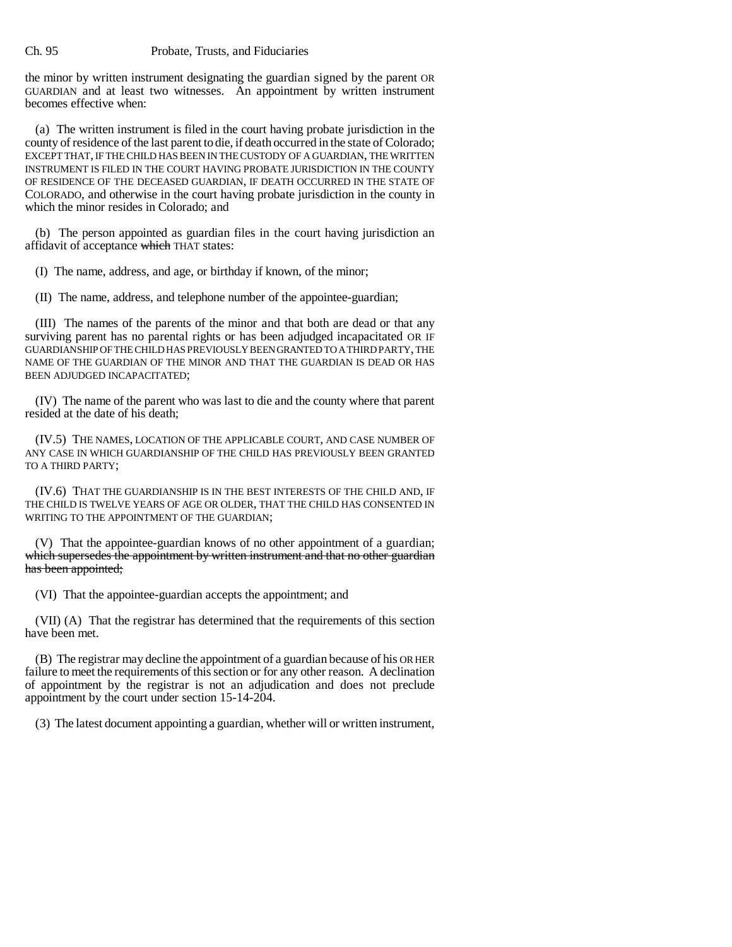the minor by written instrument designating the guardian signed by the parent OR GUARDIAN and at least two witnesses. An appointment by written instrument becomes effective when:

(a) The written instrument is filed in the court having probate jurisdiction in the county of residence of the last parent to die, if death occurred in the state of Colorado; EXCEPT THAT, IF THE CHILD HAS BEEN IN THE CUSTODY OF A GUARDIAN, THE WRITTEN INSTRUMENT IS FILED IN THE COURT HAVING PROBATE JURISDICTION IN THE COUNTY OF RESIDENCE OF THE DECEASED GUARDIAN, IF DEATH OCCURRED IN THE STATE OF COLORADO, and otherwise in the court having probate jurisdiction in the county in which the minor resides in Colorado; and

(b) The person appointed as guardian files in the court having jurisdiction an affidavit of acceptance which THAT states:

(I) The name, address, and age, or birthday if known, of the minor;

(II) The name, address, and telephone number of the appointee-guardian;

(III) The names of the parents of the minor and that both are dead or that any surviving parent has no parental rights or has been adjudged incapacitated OR IF GUARDIANSHIP OF THE CHILD HAS PREVIOUSLY BEEN GRANTED TO A THIRD PARTY, THE NAME OF THE GUARDIAN OF THE MINOR AND THAT THE GUARDIAN IS DEAD OR HAS BEEN ADJUDGED INCAPACITATED;

(IV) The name of the parent who was last to die and the county where that parent resided at the date of his death;

(IV.5) THE NAMES, LOCATION OF THE APPLICABLE COURT, AND CASE NUMBER OF ANY CASE IN WHICH GUARDIANSHIP OF THE CHILD HAS PREVIOUSLY BEEN GRANTED TO A THIRD PARTY;

(IV.6) THAT THE GUARDIANSHIP IS IN THE BEST INTERESTS OF THE CHILD AND, IF THE CHILD IS TWELVE YEARS OF AGE OR OLDER, THAT THE CHILD HAS CONSENTED IN WRITING TO THE APPOINTMENT OF THE GUARDIAN;

(V) That the appointee-guardian knows of no other appointment of a guardian; which supersedes the appointment by written instrument and that no other guardian has been appointed;

(VI) That the appointee-guardian accepts the appointment; and

(VII) (A) That the registrar has determined that the requirements of this section have been met.

(B) The registrar may decline the appointment of a guardian because of his OR HER failure to meet the requirements of this section or for any other reason. A declination of appointment by the registrar is not an adjudication and does not preclude appointment by the court under section 15-14-204.

(3) The latest document appointing a guardian, whether will or written instrument,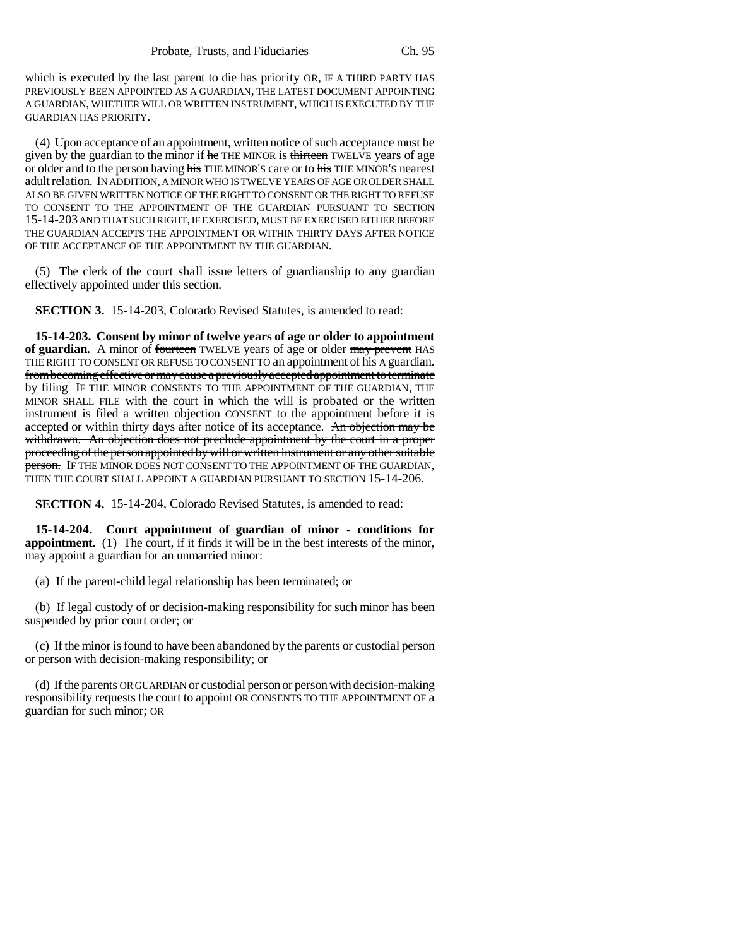which is executed by the last parent to die has priority OR, IF A THIRD PARTY HAS PREVIOUSLY BEEN APPOINTED AS A GUARDIAN, THE LATEST DOCUMENT APPOINTING A GUARDIAN, WHETHER WILL OR WRITTEN INSTRUMENT, WHICH IS EXECUTED BY THE GUARDIAN HAS PRIORITY.

(4) Upon acceptance of an appointment, written notice of such acceptance must be given by the guardian to the minor if he THE MINOR is thirteen TWELVE years of age or older and to the person having his THE MINOR'S care or to his THE MINOR'S nearest adult relation. IN ADDITION, A MINOR WHO IS TWELVE YEARS OF AGE OR OLDER SHALL ALSO BE GIVEN WRITTEN NOTICE OF THE RIGHT TO CONSENT OR THE RIGHT TO REFUSE TO CONSENT TO THE APPOINTMENT OF THE GUARDIAN PURSUANT TO SECTION 15-14-203 AND THAT SUCH RIGHT, IF EXERCISED, MUST BE EXERCISED EITHER BEFORE THE GUARDIAN ACCEPTS THE APPOINTMENT OR WITHIN THIRTY DAYS AFTER NOTICE OF THE ACCEPTANCE OF THE APPOINTMENT BY THE GUARDIAN.

(5) The clerk of the court shall issue letters of guardianship to any guardian effectively appointed under this section.

**SECTION 3.** 15-14-203, Colorado Revised Statutes, is amended to read:

**15-14-203. Consent by minor of twelve years of age or older to appointment** of guardian. A minor of fourteen TWELVE years of age or older may prevent HAS THE RIGHT TO CONSENT OR REFUSE TO CONSENT TO an appointment of his A guardian. from becoming effective or may cause a previously accepted appointment to terminate by filing IF THE MINOR CONSENTS TO THE APPOINTMENT OF THE GUARDIAN, THE MINOR SHALL FILE with the court in which the will is probated or the written instrument is filed a written objection CONSENT to the appointment before it is accepted or within thirty days after notice of its acceptance. An objection may be withdrawn. An objection does not preclude appointment by the court in a proper proceeding of the person appointed by will or written instrument or any other suitable person. IF THE MINOR DOES NOT CONSENT TO THE APPOINTMENT OF THE GUARDIAN, THEN THE COURT SHALL APPOINT A GUARDIAN PURSUANT TO SECTION 15-14-206.

**SECTION 4.** 15-14-204, Colorado Revised Statutes, is amended to read:

**15-14-204. Court appointment of guardian of minor - conditions for appointment.** (1) The court, if it finds it will be in the best interests of the minor, may appoint a guardian for an unmarried minor:

(a) If the parent-child legal relationship has been terminated; or

(b) If legal custody of or decision-making responsibility for such minor has been suspended by prior court order; or

(c) If the minor is found to have been abandoned by the parents or custodial person or person with decision-making responsibility; or

(d) If the parents OR GUARDIAN or custodial person or person with decision-making responsibility requests the court to appoint OR CONSENTS TO THE APPOINTMENT OF a guardian for such minor; OR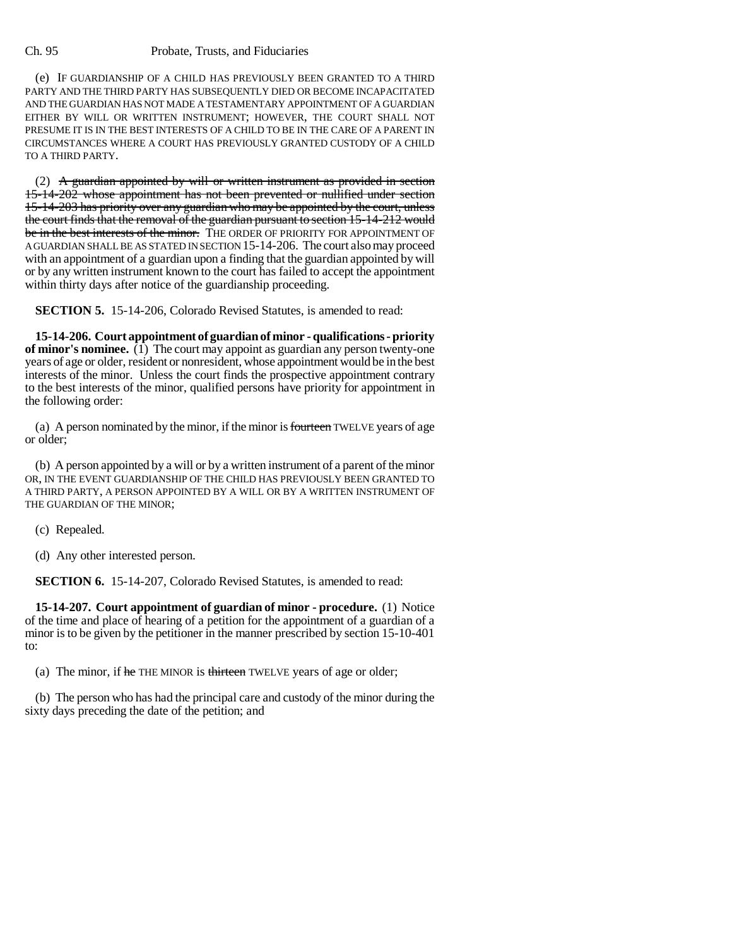(e) IF GUARDIANSHIP OF A CHILD HAS PREVIOUSLY BEEN GRANTED TO A THIRD PARTY AND THE THIRD PARTY HAS SUBSEQUENTLY DIED OR BECOME INCAPACITATED AND THE GUARDIAN HAS NOT MADE A TESTAMENTARY APPOINTMENT OF A GUARDIAN EITHER BY WILL OR WRITTEN INSTRUMENT; HOWEVER, THE COURT SHALL NOT PRESUME IT IS IN THE BEST INTERESTS OF A CHILD TO BE IN THE CARE OF A PARENT IN CIRCUMSTANCES WHERE A COURT HAS PREVIOUSLY GRANTED CUSTODY OF A CHILD TO A THIRD PARTY.

(2) A guardian appointed by will or written instrument as provided in section 15-14-202 whose appointment has not been prevented or nullified under section 15-14-203 has priority over any guardian who may be appointed by the court, unless the court finds that the removal of the guardian pursuant to section 15-14-212 would be in the best interests of the minor. THE ORDER OF PRIORITY FOR APPOINTMENT OF A GUARDIAN SHALL BE AS STATED IN SECTION 15-14-206. The court also may proceed with an appointment of a guardian upon a finding that the guardian appointed by will or by any written instrument known to the court has failed to accept the appointment within thirty days after notice of the guardianship proceeding.

**SECTION 5.** 15-14-206, Colorado Revised Statutes, is amended to read:

**15-14-206. Court appointment of guardian of minor - qualifications - priority of minor's nominee.** (1) The court may appoint as guardian any person twenty-one years of age or older, resident or nonresident, whose appointment would be in the best interests of the minor. Unless the court finds the prospective appointment contrary to the best interests of the minor, qualified persons have priority for appointment in the following order:

(a) A person nominated by the minor, if the minor is fourteen TWELVE years of age or older;

(b) A person appointed by a will or by a written instrument of a parent of the minor OR, IN THE EVENT GUARDIANSHIP OF THE CHILD HAS PREVIOUSLY BEEN GRANTED TO A THIRD PARTY, A PERSON APPOINTED BY A WILL OR BY A WRITTEN INSTRUMENT OF THE GUARDIAN OF THE MINOR;

(c) Repealed.

(d) Any other interested person.

**SECTION 6.** 15-14-207, Colorado Revised Statutes, is amended to read:

**15-14-207. Court appointment of guardian of minor - procedure.** (1) Notice of the time and place of hearing of a petition for the appointment of a guardian of a minor is to be given by the petitioner in the manner prescribed by section 15-10-401 to:

(a) The minor, if he THE MINOR is thirteen TWELVE years of age or older;

(b) The person who has had the principal care and custody of the minor during the sixty days preceding the date of the petition; and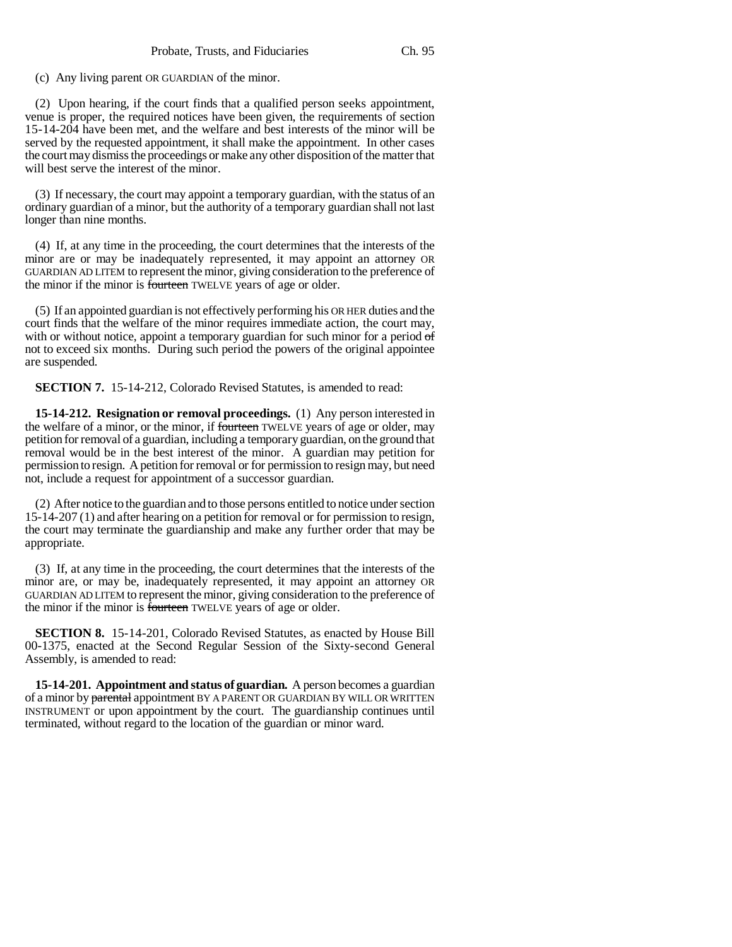(c) Any living parent OR GUARDIAN of the minor.

(2) Upon hearing, if the court finds that a qualified person seeks appointment, venue is proper, the required notices have been given, the requirements of section 15-14-204 have been met, and the welfare and best interests of the minor will be served by the requested appointment, it shall make the appointment. In other cases the court may dismiss the proceedings or make any other disposition of the matter that will best serve the interest of the minor.

(3) If necessary, the court may appoint a temporary guardian, with the status of an ordinary guardian of a minor, but the authority of a temporary guardian shall not last longer than nine months.

(4) If, at any time in the proceeding, the court determines that the interests of the minor are or may be inadequately represented, it may appoint an attorney OR GUARDIAN AD LITEM to represent the minor, giving consideration to the preference of the minor if the minor is fourteen TWELVE years of age or older.

(5) If an appointed guardian is not effectively performing his OR HER duties and the court finds that the welfare of the minor requires immediate action, the court may, with or without notice, appoint a temporary guardian for such minor for a period of not to exceed six months. During such period the powers of the original appointee are suspended.

**SECTION 7.** 15-14-212, Colorado Revised Statutes, is amended to read:

**15-14-212. Resignation or removal proceedings.** (1) Any person interested in the welfare of a minor, or the minor, if fourteen TWELVE years of age or older, may petition for removal of a guardian, including a temporary guardian, on the ground that removal would be in the best interest of the minor. A guardian may petition for permission to resign. A petition for removal or for permission to resign may, but need not, include a request for appointment of a successor guardian.

(2) After notice to the guardian and to those persons entitled to notice under section 15-14-207 (1) and after hearing on a petition for removal or for permission to resign, the court may terminate the guardianship and make any further order that may be appropriate.

(3) If, at any time in the proceeding, the court determines that the interests of the minor are, or may be, inadequately represented, it may appoint an attorney OR GUARDIAN AD LITEM to represent the minor, giving consideration to the preference of the minor if the minor is fourteen TWELVE years of age or older.

**SECTION 8.** 15-14-201, Colorado Revised Statutes, as enacted by House Bill 00-1375, enacted at the Second Regular Session of the Sixty-second General Assembly, is amended to read:

**15-14-201. Appointment and status of guardian.** A person becomes a guardian of a minor by parental appointment BY A PARENT OR GUARDIAN BY WILL OR WRITTEN INSTRUMENT or upon appointment by the court. The guardianship continues until terminated, without regard to the location of the guardian or minor ward.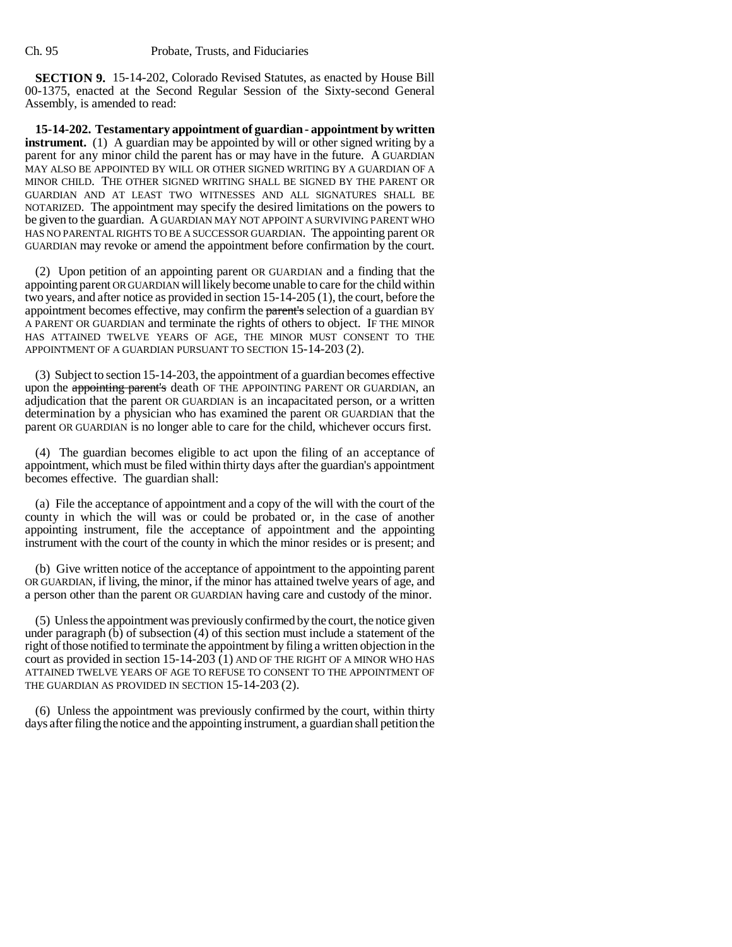**SECTION 9.** 15-14-202, Colorado Revised Statutes, as enacted by House Bill 00-1375, enacted at the Second Regular Session of the Sixty-second General Assembly, is amended to read:

**15-14-202. Testamentary appointment of guardian - appointment by written instrument.** (1) A guardian may be appointed by will or other signed writing by a parent for any minor child the parent has or may have in the future. A GUARDIAN MAY ALSO BE APPOINTED BY WILL OR OTHER SIGNED WRITING BY A GUARDIAN OF A MINOR CHILD. THE OTHER SIGNED WRITING SHALL BE SIGNED BY THE PARENT OR GUARDIAN AND AT LEAST TWO WITNESSES AND ALL SIGNATURES SHALL BE NOTARIZED. The appointment may specify the desired limitations on the powers to be given to the guardian. A GUARDIAN MAY NOT APPOINT A SURVIVING PARENT WHO HAS NO PARENTAL RIGHTS TO BE A SUCCESSOR GUARDIAN. The appointing parent OR GUARDIAN may revoke or amend the appointment before confirmation by the court.

(2) Upon petition of an appointing parent OR GUARDIAN and a finding that the appointing parent OR GUARDIAN will likely become unable to care for the child within two years, and after notice as provided in section 15-14-205 (1), the court, before the appointment becomes effective, may confirm the parent's selection of a guardian BY A PARENT OR GUARDIAN and terminate the rights of others to object. IF THE MINOR HAS ATTAINED TWELVE YEARS OF AGE, THE MINOR MUST CONSENT TO THE APPOINTMENT OF A GUARDIAN PURSUANT TO SECTION 15-14-203 (2).

(3) Subject to section 15-14-203, the appointment of a guardian becomes effective upon the appointing parent's death OF THE APPOINTING PARENT OR GUARDIAN, an adjudication that the parent OR GUARDIAN is an incapacitated person, or a written determination by a physician who has examined the parent OR GUARDIAN that the parent OR GUARDIAN is no longer able to care for the child, whichever occurs first.

(4) The guardian becomes eligible to act upon the filing of an acceptance of appointment, which must be filed within thirty days after the guardian's appointment becomes effective. The guardian shall:

(a) File the acceptance of appointment and a copy of the will with the court of the county in which the will was or could be probated or, in the case of another appointing instrument, file the acceptance of appointment and the appointing instrument with the court of the county in which the minor resides or is present; and

(b) Give written notice of the acceptance of appointment to the appointing parent OR GUARDIAN, if living, the minor, if the minor has attained twelve years of age, and a person other than the parent OR GUARDIAN having care and custody of the minor.

(5) Unless the appointment was previously confirmed by the court, the notice given under paragraph (b) of subsection (4) of this section must include a statement of the right of those notified to terminate the appointment by filing a written objection in the court as provided in section 15-14-203 (1) AND OF THE RIGHT OF A MINOR WHO HAS ATTAINED TWELVE YEARS OF AGE TO REFUSE TO CONSENT TO THE APPOINTMENT OF THE GUARDIAN AS PROVIDED IN SECTION 15-14-203 (2).

(6) Unless the appointment was previously confirmed by the court, within thirty days after filing the notice and the appointing instrument, a guardian shall petition the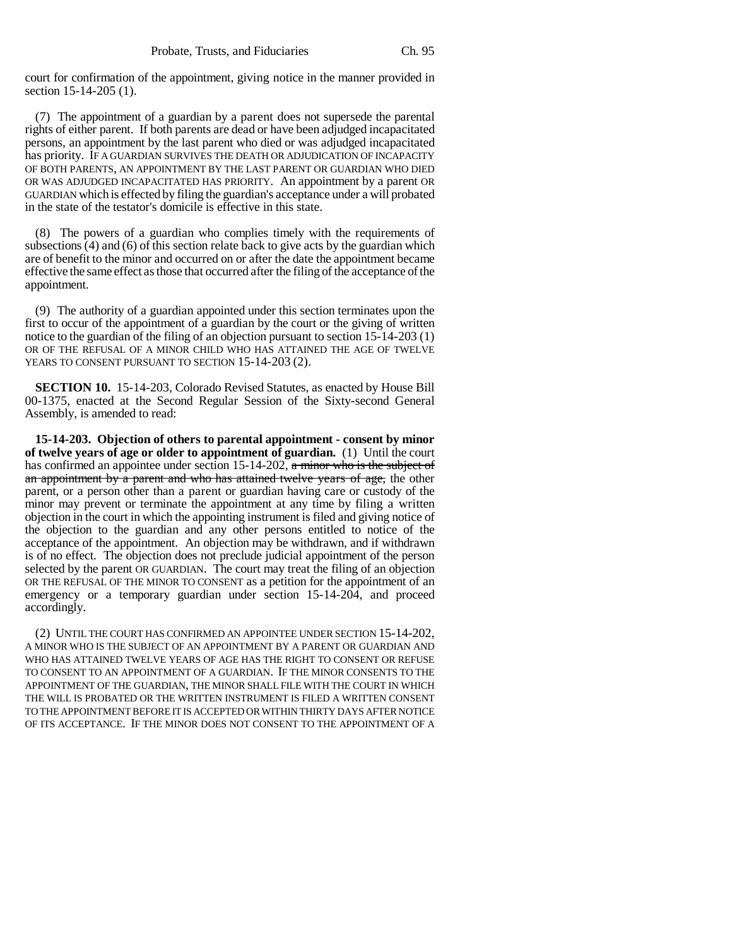court for confirmation of the appointment, giving notice in the manner provided in section 15-14-205 (1).

(7) The appointment of a guardian by a parent does not supersede the parental rights of either parent. If both parents are dead or have been adjudged incapacitated persons, an appointment by the last parent who died or was adjudged incapacitated has priority. IF A GUARDIAN SURVIVES THE DEATH OR ADJUDICATION OF INCAPACITY OF BOTH PARENTS, AN APPOINTMENT BY THE LAST PARENT OR GUARDIAN WHO DIED OR WAS ADJUDGED INCAPACITATED HAS PRIORITY. An appointment by a parent OR GUARDIAN which is effected by filing the guardian's acceptance under a will probated in the state of the testator's domicile is effective in this state.

(8) The powers of a guardian who complies timely with the requirements of subsections (4) and (6) of this section relate back to give acts by the guardian which are of benefit to the minor and occurred on or after the date the appointment became effective the same effect as those that occurred after the filing of the acceptance of the appointment.

(9) The authority of a guardian appointed under this section terminates upon the first to occur of the appointment of a guardian by the court or the giving of written notice to the guardian of the filing of an objection pursuant to section 15-14-203 (1) OR OF THE REFUSAL OF A MINOR CHILD WHO HAS ATTAINED THE AGE OF TWELVE YEARS TO CONSENT PURSUANT TO SECTION 15-14-203 (2).

**SECTION 10.** 15-14-203, Colorado Revised Statutes, as enacted by House Bill 00-1375, enacted at the Second Regular Session of the Sixty-second General Assembly, is amended to read:

**15-14-203. Objection of others to parental appointment - consent by minor of twelve years of age or older to appointment of guardian.** (1) Until the court has confirmed an appointee under section 15-14-202, a minor who is the subject of an appointment by a parent and who has attained twelve years of age, the other parent, or a person other than a parent or guardian having care or custody of the minor may prevent or terminate the appointment at any time by filing a written objection in the court in which the appointing instrument is filed and giving notice of the objection to the guardian and any other persons entitled to notice of the acceptance of the appointment. An objection may be withdrawn, and if withdrawn is of no effect. The objection does not preclude judicial appointment of the person selected by the parent OR GUARDIAN. The court may treat the filing of an objection OR THE REFUSAL OF THE MINOR TO CONSENT as a petition for the appointment of an emergency or a temporary guardian under section 15-14-204, and proceed accordingly.

(2) UNTIL THE COURT HAS CONFIRMED AN APPOINTEE UNDER SECTION 15-14-202, A MINOR WHO IS THE SUBJECT OF AN APPOINTMENT BY A PARENT OR GUARDIAN AND WHO HAS ATTAINED TWELVE YEARS OF AGE HAS THE RIGHT TO CONSENT OR REFUSE TO CONSENT TO AN APPOINTMENT OF A GUARDIAN. IF THE MINOR CONSENTS TO THE APPOINTMENT OF THE GUARDIAN, THE MINOR SHALL FILE WITH THE COURT IN WHICH THE WILL IS PROBATED OR THE WRITTEN INSTRUMENT IS FILED A WRITTEN CONSENT TO THE APPOINTMENT BEFORE IT IS ACCEPTED OR WITHIN THIRTY DAYS AFTER NOTICE OF ITS ACCEPTANCE. IF THE MINOR DOES NOT CONSENT TO THE APPOINTMENT OF A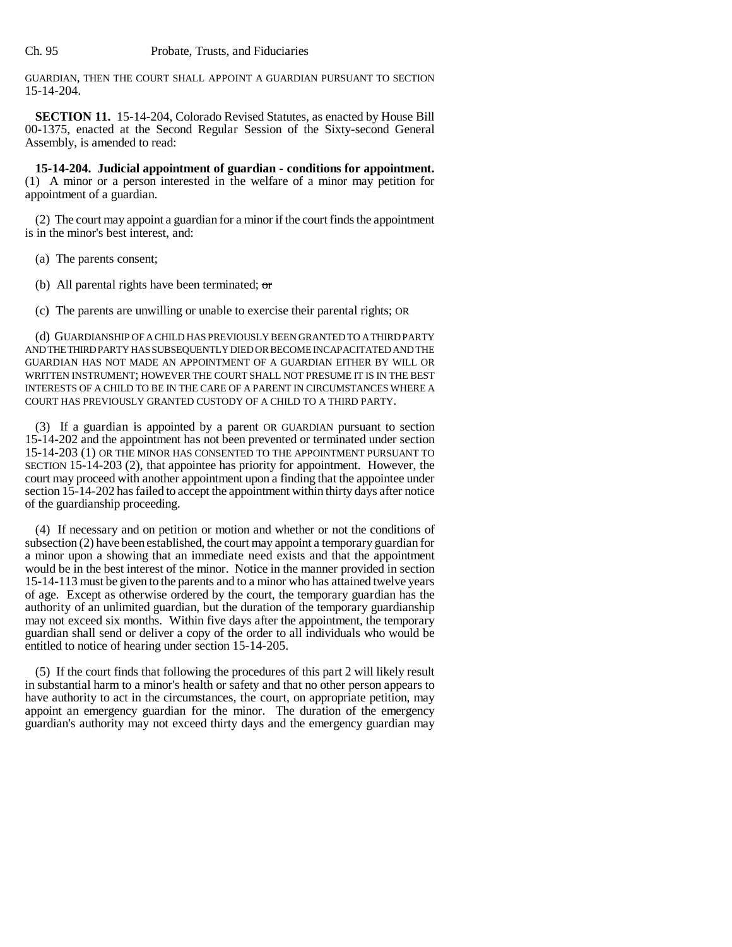GUARDIAN, THEN THE COURT SHALL APPOINT A GUARDIAN PURSUANT TO SECTION 15-14-204.

**SECTION 11.** 15-14-204, Colorado Revised Statutes, as enacted by House Bill 00-1375, enacted at the Second Regular Session of the Sixty-second General Assembly, is amended to read:

**15-14-204. Judicial appointment of guardian - conditions for appointment.** (1) A minor or a person interested in the welfare of a minor may petition for appointment of a guardian.

(2) The court may appoint a guardian for a minor if the court finds the appointment is in the minor's best interest, and:

- (a) The parents consent;
- (b) All parental rights have been terminated;  $\sigma$

(c) The parents are unwilling or unable to exercise their parental rights; OR

(d) GUARDIANSHIP OF A CHILD HAS PREVIOUSLY BEEN GRANTED TO A THIRD PARTY AND THE THIRD PARTY HAS SUBSEQUENTLY DIED OR BECOME INCAPACITATED AND THE GUARDIAN HAS NOT MADE AN APPOINTMENT OF A GUARDIAN EITHER BY WILL OR WRITTEN INSTRUMENT; HOWEVER THE COURT SHALL NOT PRESUME IT IS IN THE BEST INTERESTS OF A CHILD TO BE IN THE CARE OF A PARENT IN CIRCUMSTANCES WHERE A COURT HAS PREVIOUSLY GRANTED CUSTODY OF A CHILD TO A THIRD PARTY.

(3) If a guardian is appointed by a parent OR GUARDIAN pursuant to section 15-14-202 and the appointment has not been prevented or terminated under section 15-14-203 (1) OR THE MINOR HAS CONSENTED TO THE APPOINTMENT PURSUANT TO SECTION 15-14-203 (2), that appointee has priority for appointment. However, the court may proceed with another appointment upon a finding that the appointee under section 15-14-202 has failed to accept the appointment within thirty days after notice of the guardianship proceeding.

(4) If necessary and on petition or motion and whether or not the conditions of subsection (2) have been established, the court may appoint a temporary guardian for a minor upon a showing that an immediate need exists and that the appointment would be in the best interest of the minor. Notice in the manner provided in section 15-14-113 must be given to the parents and to a minor who has attained twelve years of age. Except as otherwise ordered by the court, the temporary guardian has the authority of an unlimited guardian, but the duration of the temporary guardianship may not exceed six months. Within five days after the appointment, the temporary guardian shall send or deliver a copy of the order to all individuals who would be entitled to notice of hearing under section 15-14-205.

(5) If the court finds that following the procedures of this part 2 will likely result in substantial harm to a minor's health or safety and that no other person appears to have authority to act in the circumstances, the court, on appropriate petition, may appoint an emergency guardian for the minor. The duration of the emergency guardian's authority may not exceed thirty days and the emergency guardian may